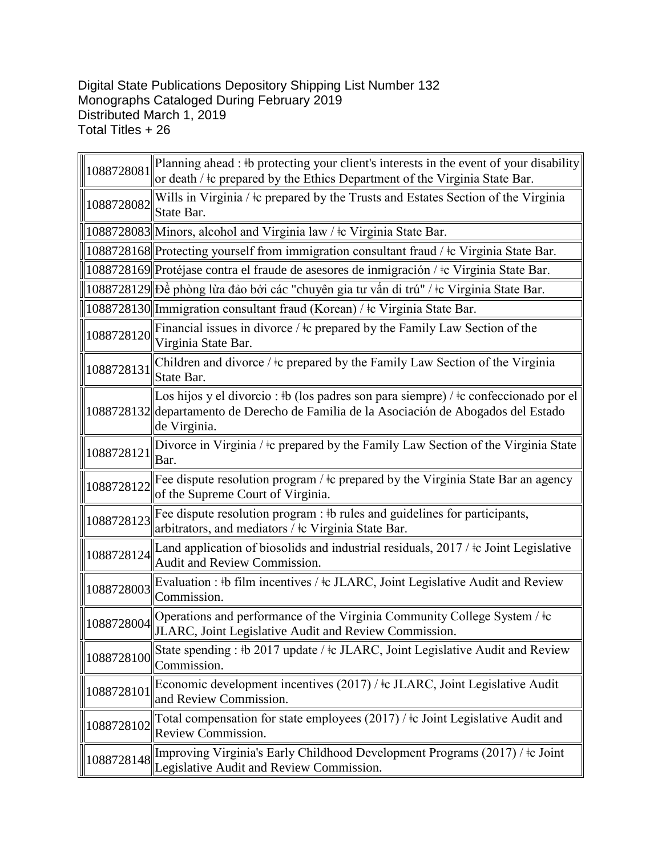## Digital State Publications Depository Shipping List Number 132 Monographs Cataloged During February 2019 Distributed March 1, 2019 Total Titles + 26

| 1088728081 | Planning ahead : #b protecting your client's interests in the event of your disability<br>or death / ‡c prepared by the Ethics Department of the Virginia State Bar.                          |
|------------|-----------------------------------------------------------------------------------------------------------------------------------------------------------------------------------------------|
| 1088728082 | Wills in Virginia / $\pm c$ prepared by the Trusts and Estates Section of the Virginia<br>State Bar.                                                                                          |
|            | 1088728083 Minors, alcohol and Virginia law / $\pm$ Virginia State Bar.                                                                                                                       |
|            | 1088728168 Protecting yourself from immigration consultant fraud / ‡c Virginia State Bar.                                                                                                     |
|            | 1088728169 Protéjase contra el fraude de asesores de inmigración / ‡c Virginia State Bar.                                                                                                     |
|            | 1088728129 Dề phòng lừa đảo bởi các "chuyên gia tư vấn di trú" / ‡c Virginia State Bar.                                                                                                       |
|            | 1088728130 Immigration consultant fraud (Korean) / ‡c Virginia State Bar.                                                                                                                     |
| 1088728120 | Financial issues in divorce / $\pm c$ prepared by the Family Law Section of the<br>Virginia State Bar.                                                                                        |
| 1088728131 | Children and divorce / to prepared by the Family Law Section of the Virginia<br>State Bar.                                                                                                    |
|            | Los hijos y el divorcio : #b (los padres son para siempre) / #c confeccionado por el<br>1088728132 departamento de Derecho de Familia de la Asociación de Abogados del Estado<br>de Virginia. |
| 1088728121 | Divorce in Virginia / ‡c prepared by the Family Law Section of the Virginia State<br>Bar.                                                                                                     |
| 1088728122 | Fee dispute resolution program / $\pm c$ prepared by the Virginia State Bar an agency<br>of the Supreme Court of Virginia.                                                                    |
| 1088728123 | Fee dispute resolution program : #b rules and guidelines for participants,<br>arbitrators, and mediators / ‡c Virginia State Bar.                                                             |
| 1088728124 | Land application of biosolids and industrial residuals, 2017 / ‡c Joint Legislative<br>Audit and Review Commission.                                                                           |
| 1088728003 | Evaluation : #b film incentives / $\pm c$ JLARC, Joint Legislative Audit and Review<br>Commission.                                                                                            |
| 1088728004 | Operations and performance of the Virginia Community College System / ‡c<br>JLARC, Joint Legislative Audit and Review Commission.                                                             |
| 1088728100 | State spending : #b 2017 update / $\pm$ c JLARC, Joint Legislative Audit and Review<br>Commission.                                                                                            |
| 1088728101 | Economic development incentives (2017) / ‡c JLARC, Joint Legislative Audit<br>and Review Commission.                                                                                          |
| 1088728102 | Total compensation for state employees (2017) / ‡c Joint Legislative Audit and<br>Review Commission.                                                                                          |
| 1088728148 | Improving Virginia's Early Childhood Development Programs (2017) / ‡c Joint<br>Legislative Audit and Review Commission.                                                                       |